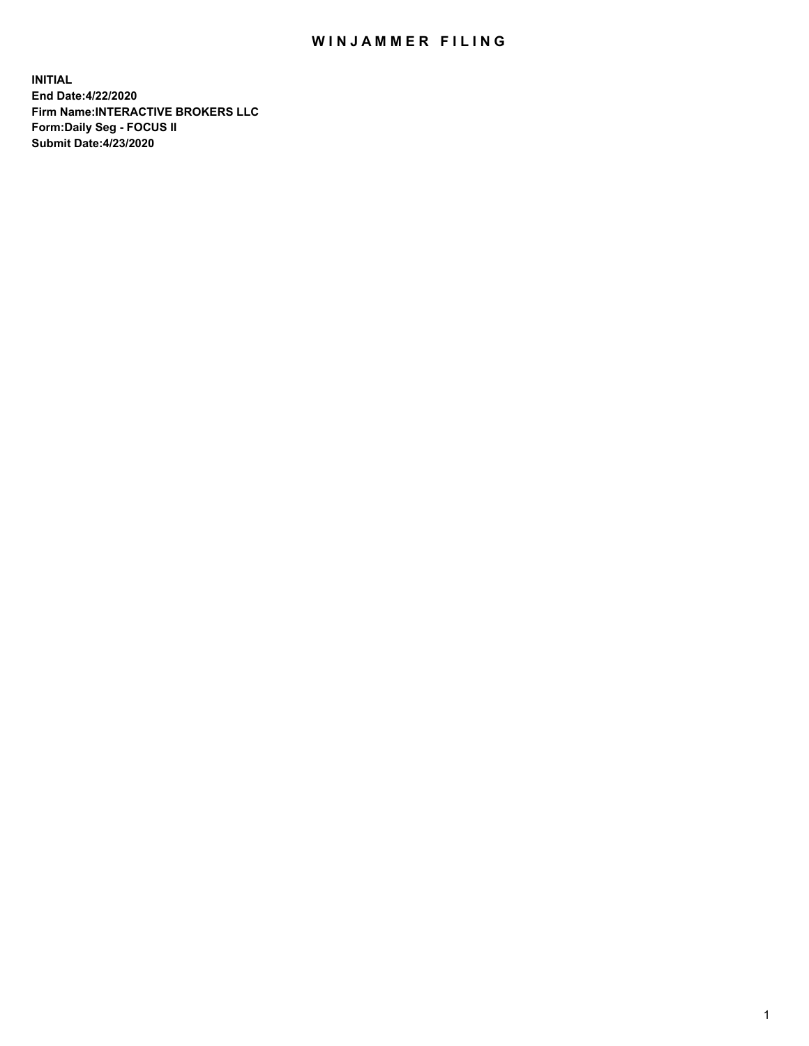## WIN JAMMER FILING

**INITIAL End Date:4/22/2020 Firm Name:INTERACTIVE BROKERS LLC Form:Daily Seg - FOCUS II Submit Date:4/23/2020**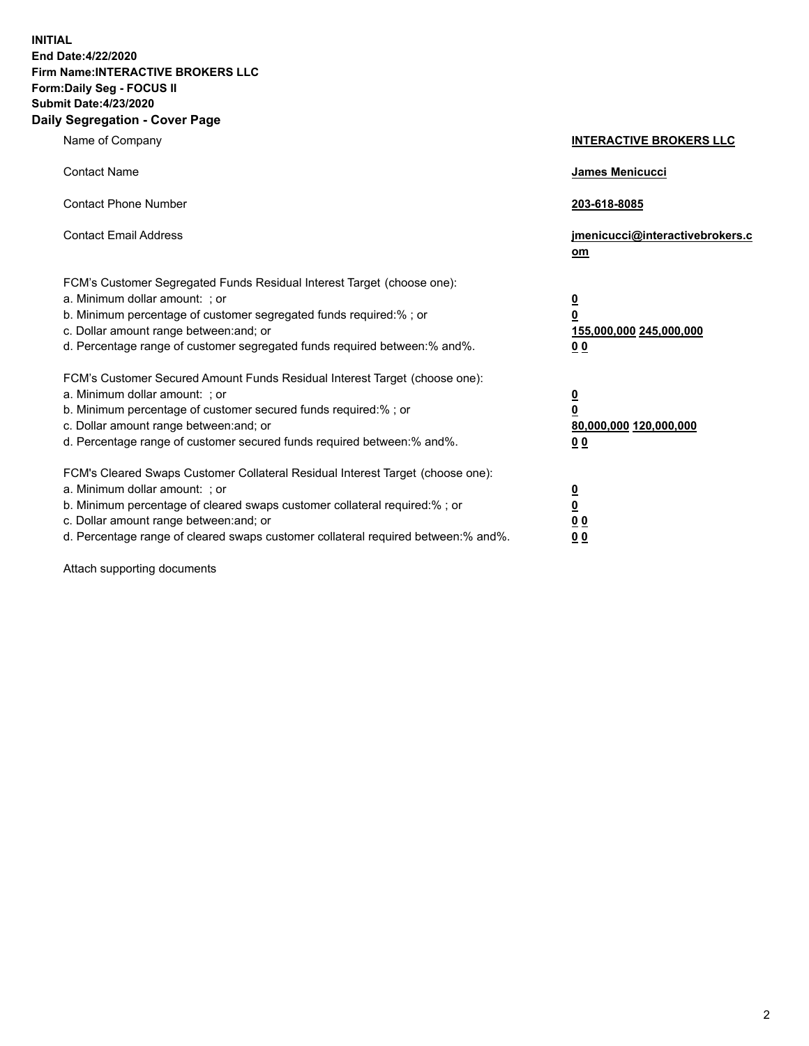**INITIAL End Date:4/22/2020 Firm Name:INTERACTIVE BROKERS LLC Form:Daily Seg - FOCUS II Submit Date:4/23/2020 Daily Segregation - Cover Page**

| Name of Company                                                                                                                                                                                                                                                                                                                | <b>INTERACTIVE BROKERS LLC</b>                                                   |
|--------------------------------------------------------------------------------------------------------------------------------------------------------------------------------------------------------------------------------------------------------------------------------------------------------------------------------|----------------------------------------------------------------------------------|
| <b>Contact Name</b>                                                                                                                                                                                                                                                                                                            | James Menicucci                                                                  |
| <b>Contact Phone Number</b>                                                                                                                                                                                                                                                                                                    | 203-618-8085                                                                     |
| <b>Contact Email Address</b>                                                                                                                                                                                                                                                                                                   | jmenicucci@interactivebrokers.c<br>om                                            |
| FCM's Customer Segregated Funds Residual Interest Target (choose one):<br>a. Minimum dollar amount: ; or<br>b. Minimum percentage of customer segregated funds required:% ; or<br>c. Dollar amount range between: and; or<br>d. Percentage range of customer segregated funds required between:% and%.                         | <u>0</u><br>$\overline{\mathbf{0}}$<br>155,000,000 245,000,000<br>0 <sub>0</sub> |
| FCM's Customer Secured Amount Funds Residual Interest Target (choose one):<br>a. Minimum dollar amount: ; or<br>b. Minimum percentage of customer secured funds required:% ; or<br>c. Dollar amount range between: and; or<br>d. Percentage range of customer secured funds required between:% and%.                           | <u>0</u><br>$\overline{\mathbf{0}}$<br>80,000,000 120,000,000<br>0 <sub>0</sub>  |
| FCM's Cleared Swaps Customer Collateral Residual Interest Target (choose one):<br>a. Minimum dollar amount: ; or<br>b. Minimum percentage of cleared swaps customer collateral required:% ; or<br>c. Dollar amount range between: and; or<br>d. Percentage range of cleared swaps customer collateral required between:% and%. | <u>0</u><br>$\underline{\mathbf{0}}$<br>0 <sub>0</sub><br>0 <sub>0</sub>         |

Attach supporting documents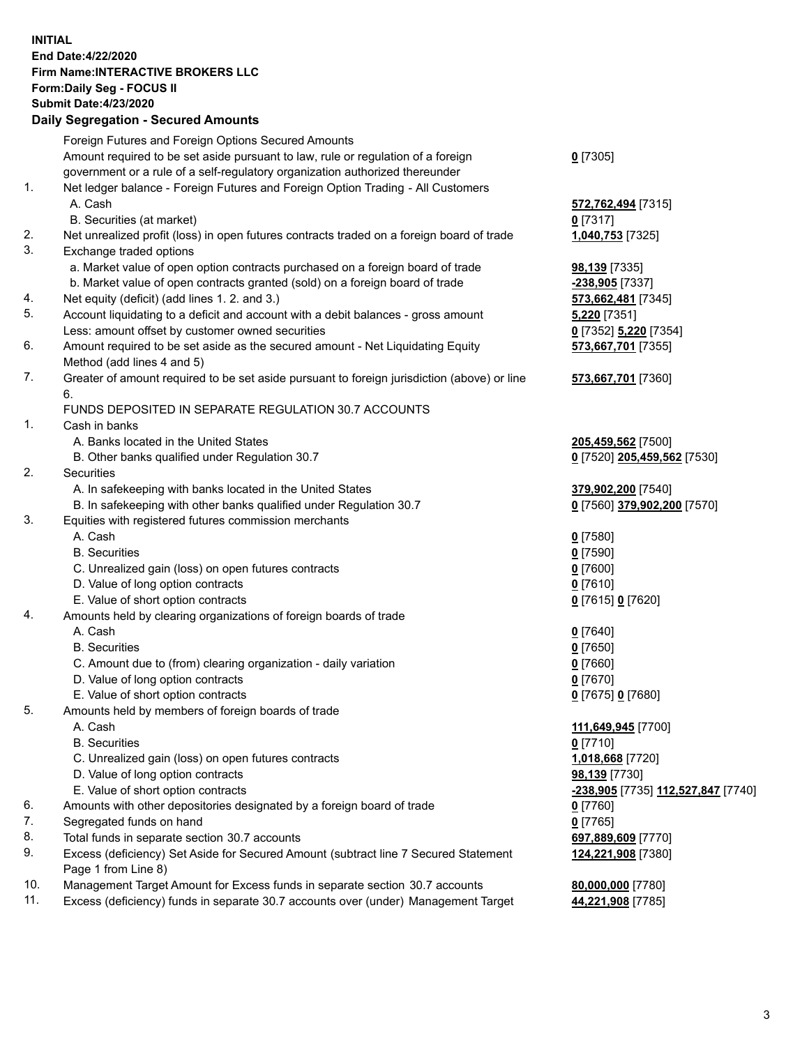**INITIAL End Date:4/22/2020 Firm Name:INTERACTIVE BROKERS LLC Form:Daily Seg - FOCUS II Submit Date:4/23/2020 Daily Segregation - Secured Amounts**

|                | <u>Dany Ocymganon - Occarca Amoante</u>                                                     |                                                   |
|----------------|---------------------------------------------------------------------------------------------|---------------------------------------------------|
|                | Foreign Futures and Foreign Options Secured Amounts                                         |                                                   |
|                | Amount required to be set aside pursuant to law, rule or regulation of a foreign            | $0$ [7305]                                        |
|                | government or a rule of a self-regulatory organization authorized thereunder                |                                                   |
| $\mathbf{1}$ . | Net ledger balance - Foreign Futures and Foreign Option Trading - All Customers             |                                                   |
|                | A. Cash                                                                                     | 572,762,494 [7315]                                |
|                | B. Securities (at market)                                                                   | $0$ [7317]                                        |
| 2.             | Net unrealized profit (loss) in open futures contracts traded on a foreign board of trade   | 1,040,753 [7325]                                  |
| 3.             | Exchange traded options                                                                     |                                                   |
|                | a. Market value of open option contracts purchased on a foreign board of trade              | <b>98,139</b> [7335]                              |
|                | b. Market value of open contracts granted (sold) on a foreign board of trade                | -238,905 [7337]                                   |
| 4.             | Net equity (deficit) (add lines 1. 2. and 3.)                                               | 573,662,481 [7345]                                |
| 5.             | Account liquidating to a deficit and account with a debit balances - gross amount           | <b>5,220</b> [7351]                               |
|                | Less: amount offset by customer owned securities                                            | 0 [7352] 5,220 [7354]                             |
| 6.             | Amount required to be set aside as the secured amount - Net Liquidating Equity              | 573,667,701 [7355]                                |
|                | Method (add lines 4 and 5)                                                                  |                                                   |
| 7.             | Greater of amount required to be set aside pursuant to foreign jurisdiction (above) or line | 573,667,701 [7360]                                |
|                | 6.                                                                                          |                                                   |
| $\mathbf{1}$ . | FUNDS DEPOSITED IN SEPARATE REGULATION 30.7 ACCOUNTS<br>Cash in banks                       |                                                   |
|                | A. Banks located in the United States                                                       |                                                   |
|                | B. Other banks qualified under Regulation 30.7                                              | 205,459,562 [7500]<br>0 [7520] 205,459,562 [7530] |
| 2.             | Securities                                                                                  |                                                   |
|                | A. In safekeeping with banks located in the United States                                   | 379,902,200 [7540]                                |
|                | B. In safekeeping with other banks qualified under Regulation 30.7                          | 0 [7560] 379,902,200 [7570]                       |
| 3.             | Equities with registered futures commission merchants                                       |                                                   |
|                | A. Cash                                                                                     | $0$ [7580]                                        |
|                | <b>B.</b> Securities                                                                        | $0$ [7590]                                        |
|                | C. Unrealized gain (loss) on open futures contracts                                         | $0$ [7600]                                        |
|                | D. Value of long option contracts                                                           | $0$ [7610]                                        |
|                | E. Value of short option contracts                                                          | 0 [7615] 0 [7620]                                 |
| 4.             | Amounts held by clearing organizations of foreign boards of trade                           |                                                   |
|                | A. Cash                                                                                     | $0$ [7640]                                        |
|                | <b>B.</b> Securities                                                                        | $0$ [7650]                                        |
|                | C. Amount due to (from) clearing organization - daily variation                             | $0$ [7660]                                        |
|                | D. Value of long option contracts                                                           | $0$ [7670]                                        |
|                | E. Value of short option contracts                                                          | 0 [7675] 0 [7680]                                 |
| 5.             | Amounts held by members of foreign boards of trade                                          |                                                   |
|                | A. Cash                                                                                     | 111,649,945 [7700]                                |
|                | <b>B.</b> Securities                                                                        | $0$ [7710]                                        |
|                | C. Unrealized gain (loss) on open futures contracts                                         | 1,018,668 [7720]                                  |
|                | D. Value of long option contracts                                                           | 98,139 [7730]                                     |
|                | E. Value of short option contracts                                                          | <u>-238,905</u> [7735] <u>112,527,847</u> [7740]  |
| 6.             | Amounts with other depositories designated by a foreign board of trade                      | 0 [7760]                                          |
| 7.             | Segregated funds on hand                                                                    | $0$ [7765]                                        |
| 8.             | Total funds in separate section 30.7 accounts                                               | 697,889,609 [7770]                                |
| 9.             | Excess (deficiency) Set Aside for Secured Amount (subtract line 7 Secured Statement         | 124,221,908 [7380]                                |
|                | Page 1 from Line 8)                                                                         |                                                   |
| 10.            | Management Target Amount for Excess funds in separate section 30.7 accounts                 | 80,000,000 [7780]                                 |
| 11.            | Excess (deficiency) funds in separate 30.7 accounts over (under) Management Target          | 44,221,908 [7785]                                 |
|                |                                                                                             |                                                   |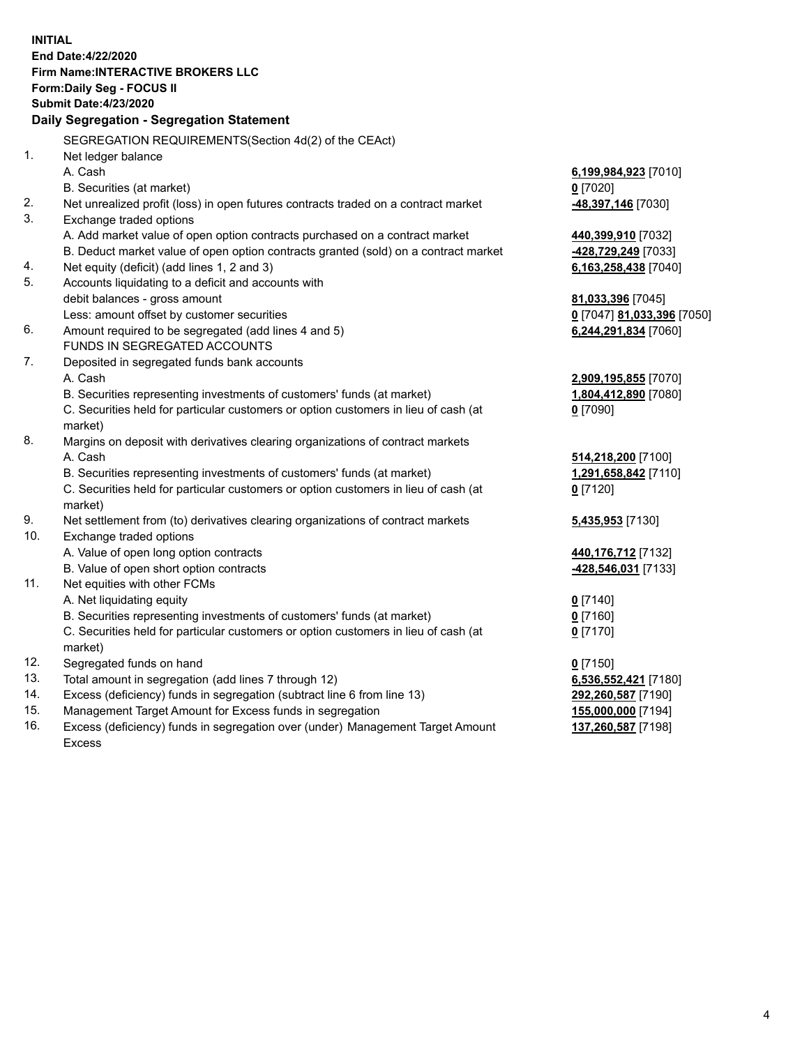**INITIAL End Date:4/22/2020 Firm Name:INTERACTIVE BROKERS LLC Form:Daily Seg - FOCUS II Submit Date:4/23/2020 Daily Segregation - Segregation Statement** SEGREGATION REQUIREMENTS(Section 4d(2) of the CEAct) 1. Net ledger balance A. Cash **6,199,984,923** [7010] B. Securities (at market) **0** [7020] 2. Net unrealized profit (loss) in open futures contracts traded on a contract market **-48,397,146** [7030] 3. Exchange traded options A. Add market value of open option contracts purchased on a contract market **440,399,910** [7032] B. Deduct market value of open option contracts granted (sold) on a contract market **-428,729,249** [7033] 4. Net equity (deficit) (add lines 1, 2 and 3) **6,163,258,438** [7040] 5. Accounts liquidating to a deficit and accounts with debit balances - gross amount **81,033,396** [7045] Less: amount offset by customer securities **0** [7047] **81,033,396** [7050] 6. Amount required to be segregated (add lines 4 and 5) **6,244,291,834** [7060] FUNDS IN SEGREGATED ACCOUNTS 7. Deposited in segregated funds bank accounts A. Cash **2,909,195,855** [7070] B. Securities representing investments of customers' funds (at market) **1,804,412,890** [7080] C. Securities held for particular customers or option customers in lieu of cash (at market) **0** [7090] 8. Margins on deposit with derivatives clearing organizations of contract markets A. Cash **514,218,200** [7100] B. Securities representing investments of customers' funds (at market) **1,291,658,842** [7110] C. Securities held for particular customers or option customers in lieu of cash (at market) **0** [7120] 9. Net settlement from (to) derivatives clearing organizations of contract markets **5,435,953** [7130] 10. Exchange traded options A. Value of open long option contracts **440,176,712** [7132] B. Value of open short option contracts **-428,546,031** [7133] 11. Net equities with other FCMs A. Net liquidating equity **0** [7140] B. Securities representing investments of customers' funds (at market) **0** [7160] C. Securities held for particular customers or option customers in lieu of cash (at market) **0** [7170] 12. Segregated funds on hand **0** [7150] 13. Total amount in segregation (add lines 7 through 12) **6,536,552,421** [7180] 14. Excess (deficiency) funds in segregation (subtract line 6 from line 13) **292,260,587** [7190] 15. Management Target Amount for Excess funds in segregation **155,000,000** [7194] 16. Excess (deficiency) funds in segregation over (under) Management Target Amount **137,260,587** [7198]

Excess